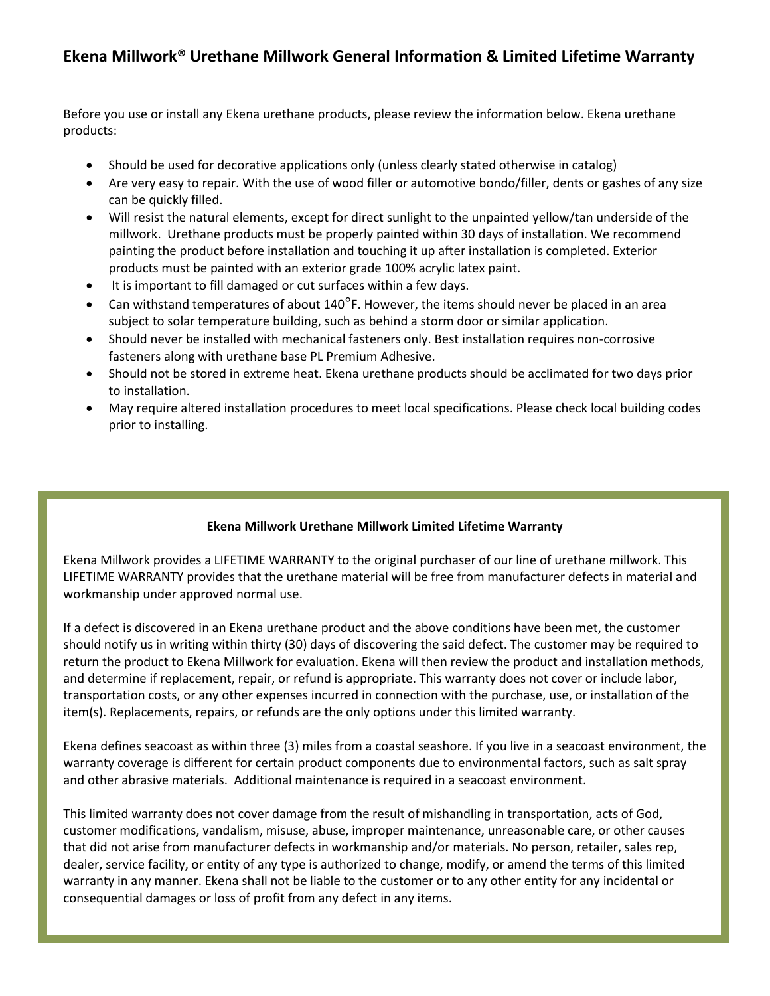## **Ekena Millwork® Urethane Millwork General Information & Limited Lifetime Warranty**

Before you use or install any Ekena urethane products, please review the information below. Ekena urethane products:

- Should be used for decorative applications only (unless clearly stated otherwise in catalog)
- Are very easy to repair. With the use of wood filler or automotive bondo/filler, dents or gashes of any size can be quickly filled.
- Will resist the natural elements, except for direct sunlight to the unpainted yellow/tan underside of the millwork. Urethane products must be properly painted within 30 days of installation. We recommend painting the product before installation and touching it up after installation is completed. Exterior products must be painted with an exterior grade 100% acrylic latex paint.
- It is important to fill damaged or cut surfaces within a few days.
- Can withstand temperatures of about 140<sup>o</sup>F. However, the items should never be placed in an area subject to solar temperature building, such as behind a storm door or similar application.
- Should never be installed with mechanical fasteners only. Best installation requires non-corrosive fasteners along with urethane base PL Premium Adhesive.
- Should not be stored in extreme heat. Ekena urethane products should be acclimated for two days prior to installation.
- May require altered installation procedures to meet local specifications. Please check local building codes prior to installing.

## **Ekena Millwork Urethane Millwork Limited Lifetime Warranty**

Ekena Millwork provides a LIFETIME WARRANTY to the original purchaser of our line of urethane millwork. This LIFETIME WARRANTY provides that the urethane material will be free from manufacturer defects in material and workmanship under approved normal use.

If a defect is discovered in an Ekena urethane product and the above conditions have been met, the customer should notify us in writing within thirty (30) days of discovering the said defect. The customer may be required to return the product to Ekena Millwork for evaluation. Ekena will then review the product and installation methods, and determine if replacement, repair, or refund is appropriate. This warranty does not cover or include labor, transportation costs, or any other expenses incurred in connection with the purchase, use, or installation of the item(s). Replacements, repairs, or refunds are the only options under this limited warranty.

Ekena defines seacoast as within three (3) miles from a coastal seashore. If you live in a seacoast environment, the warranty coverage is different for certain product components due to environmental factors, such as salt spray and other abrasive materials. Additional maintenance is required in a seacoast environment.

This limited warranty does not cover damage from the result of mishandling in transportation, acts of God, customer modifications, vandalism, misuse, abuse, improper maintenance, unreasonable care, or other causes that did not arise from manufacturer defects in workmanship and/or materials. No person, retailer, sales rep, dealer, service facility, or entity of any type is authorized to change, modify, or amend the terms of this limited warranty in any manner. Ekena shall not be liable to the customer or to any other entity for any incidental or consequential damages or loss of profit from any defect in any items.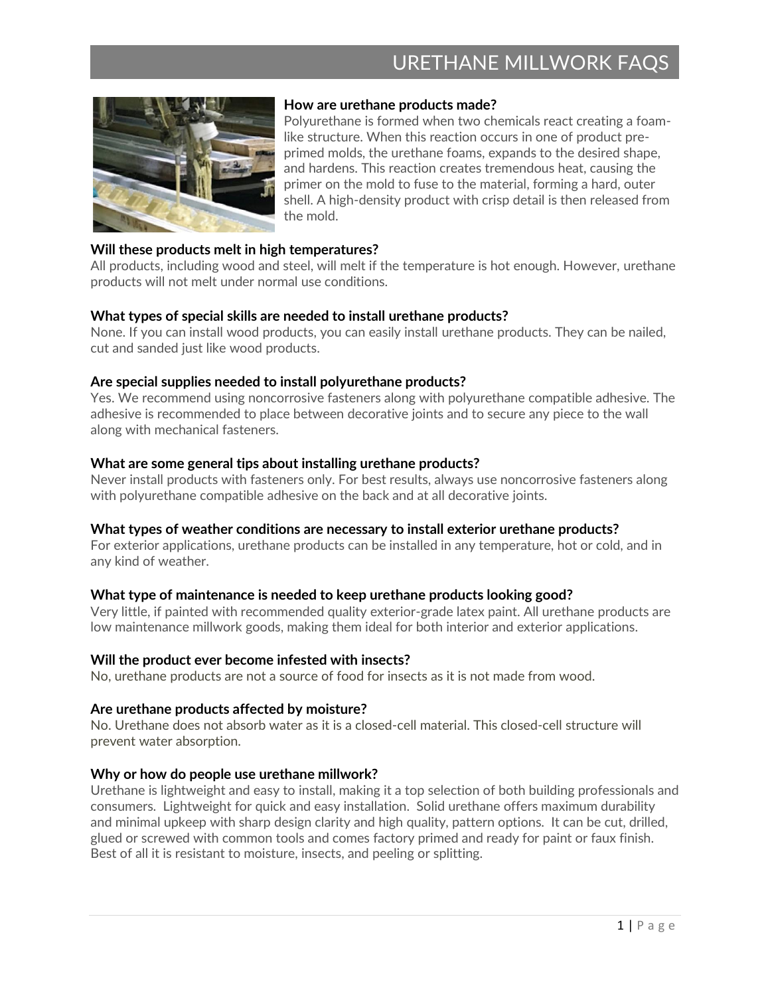# URETHANE MILLWORK FAQS



## **How are urethane products made?**

Polyurethane is formed when two chemicals react creating a foamlike structure. When this reaction occurs in one of product preprimed molds, the urethane foams, expands to the desired shape, and hardens. This reaction creates tremendous heat, causing the primer on the mold to fuse to the material, forming a hard, outer shell. A high-density product with crisp detail is then released from the mold.

## **Will these products melt in high temperatures?**

All products, including wood and steel, will melt if the temperature is hot enough. However, urethane products will not melt under normal use conditions.

#### **What types of special skills are needed to install urethane products?**

None. If you can install wood products, you can easily install urethane products. They can be nailed, cut and sanded just like wood products.

## **Are special supplies needed to install polyurethane products?**

Yes. We recommend using noncorrosive fasteners along with polyurethane compatible adhesive. The adhesive is recommended to place between decorative joints and to secure any piece to the wall along with mechanical fasteners.

## **What are some general tips about installing urethane products?**

Never install products with fasteners only. For best results, always use noncorrosive fasteners along with polyurethane compatible adhesive on the back and at all decorative joints.

#### **What types of weather conditions are necessary to install exterior urethane products?**

For exterior applications, urethane products can be installed in any temperature, hot or cold, and in any kind of weather.

## **What type of maintenance is needed to keep urethane products looking good?**

Very little, if painted with recommended quality exterior-grade latex paint. All urethane products are low maintenance millwork goods, making them ideal for both interior and exterior applications.

#### **Will the product ever become infested with insects?**

No, urethane products are not a source of food for insects as it is not made from wood.

#### **Are urethane products affected by moisture?**

No. Urethane does not absorb water as it is a closed-cell material. This closed-cell structure will prevent water absorption.

#### **Why or how do people use urethane millwork?**

Urethane is lightweight and easy to install, making it a top selection of both building professionals and consumers. Lightweight for quick and easy installation. Solid urethane offers maximum durability and minimal upkeep with sharp design clarity and high quality, pattern options. It can be cut, drilled, glued or screwed with common tools and comes factory primed and ready for paint or faux finish. Best of all it is resistant to moisture, insects, and peeling or splitting.